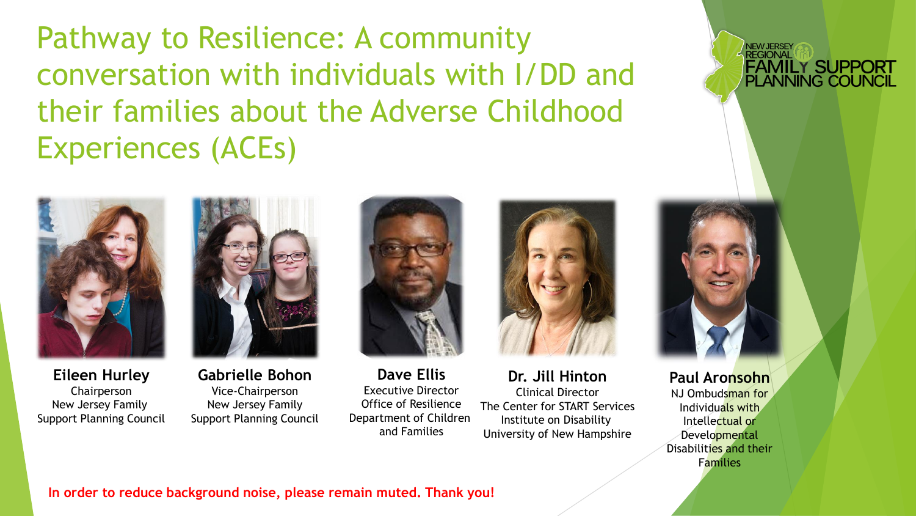Pathway to Resilience: A community conversation with individuals with I/DD and their families about the Adverse Childhood Experiences (ACEs)





**Eileen Hurley** Chairperson New Jersey Family Support Planning Council

**Gabrielle Bohon** Vice-Chairperson New Jersey Family Support Planning Council

**Dave Ellis** Executive Director Office of Resilience Department of Children and Families



**Dr. Jill Hinton** Clinical Director The Center for START Services Institute on Disability University of New Hampshire



**REGIONAL** 

**FAMILY SUPPORT<br>PLANNING COUNCIL** 

**Paul Aronsohn** NJ Ombudsman for Individuals with Intellectual or Developmental Disabilities and their Families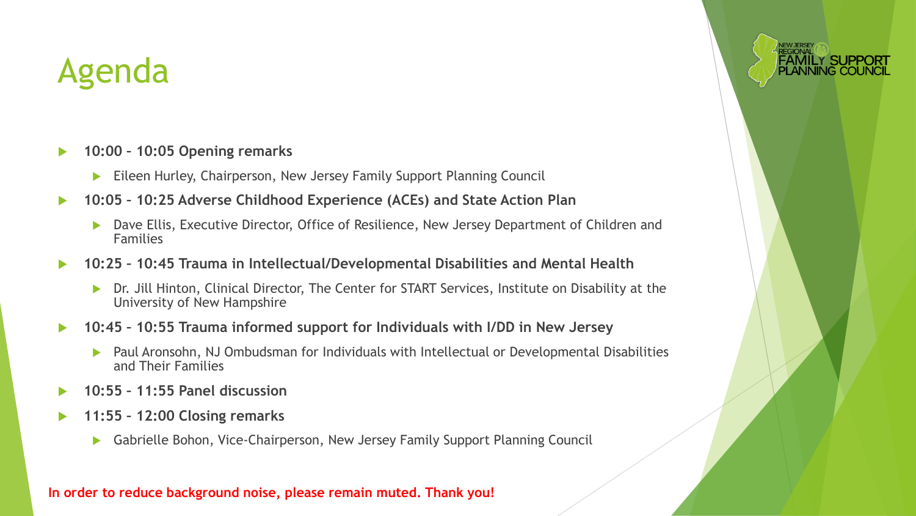#### Agenda

- **10:00 – 10:05 Opening remarks**
	- Eileen Hurley, Chairperson, New Jersey Family Support Planning Council
- **10:05 – 10:25 Adverse Childhood Experience (ACEs) and State Action Plan**
	- ▶ Dave Ellis, Executive Director, Office of Resilience, New Jersey Department of Children and Families
- **10:25 – 10:45 Trauma in Intellectual/Developmental Disabilities and Mental Health**
	- ▶ Dr. Jill Hinton, Clinical Director, The Center for START Services, Institute on Disability at the University of New Hampshire
- **10:45 – 10:55 Trauma informed support for Individuals with I/DD in New Jersey**
	- Paul Aronsohn, NJ Ombudsman for Individuals with Intellectual or Developmental Disabilities and Their Families
- **10:55 – 11:55 Panel discussion**
- **11:55 – 12:00 Closing remarks**
	- Gabrielle Bohon, Vice-Chairperson, New Jersey Family Support Planning Council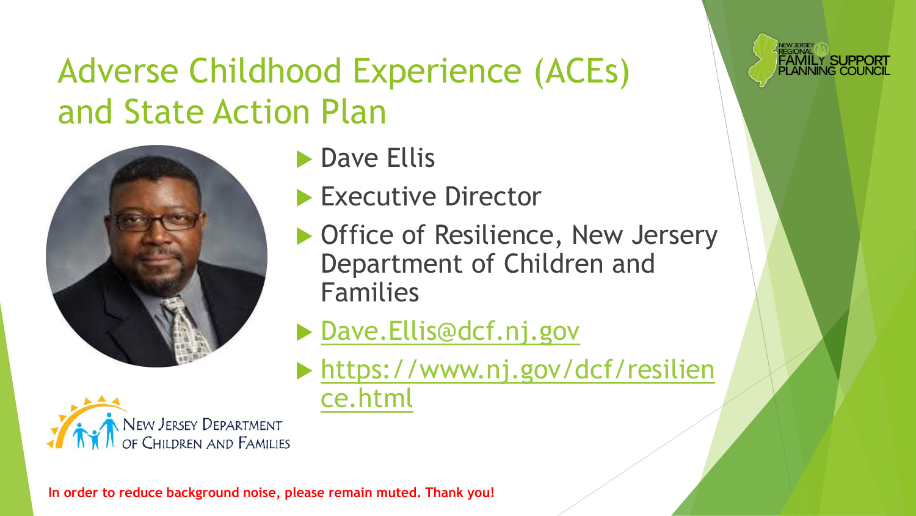### Adverse Childhood Experience (ACEs) and State Action Plan



- **Dave Ellis**
- Executive Director
- ▶ Office of Resilience, New Jersery Department of Children and Families

AMILY SUPPO<del>:</del>

- ▶ [Dave.Ellis@dcf.nj.gov](mailto:Dave.Ellis@dcf.nj.gov)
- [https://www.nj.gov/dcf/resilien](https://www.nj.gov/dcf/resilience.html) ce.html

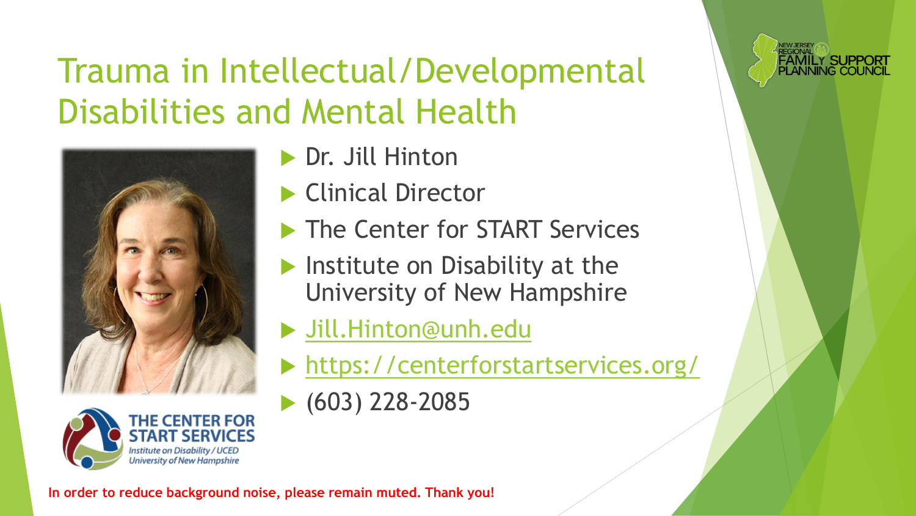## Trauma in Intellectual/Developmental Disabilities and Mental Health





- ▶ Dr. Jill Hinton
- Clinical Director
- **The Center for START Services**
- $\blacktriangleright$  Institute on Disability at the University of New Hampshire
- [Jill.Hinton@unh.edu](mailto:Jill.Hinton@unh.edu)
- <https://centerforstartservices.org/>

**FAMILY SUPPORT<br>PLANNING COUNCIL** 

(603) 228-2085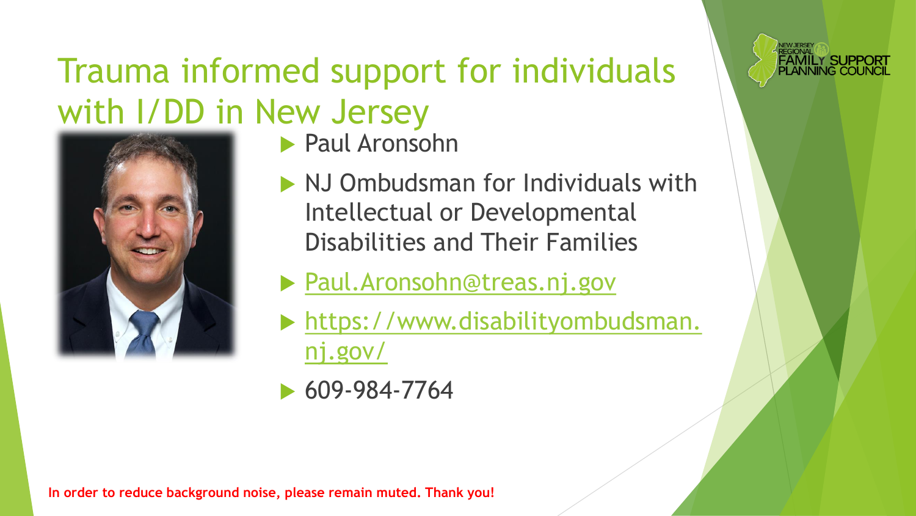### Trauma informed support for individuals with I/DD in New Jersey



- Paul Aronsohn
- NJ Ombudsman for Individuals with Intellectual or Developmental Disabilities and Their Families

**FAMILY SUPPOR<br>PLANNING COUNC** 

- ▶ [Paul.Aronsohn@treas.nj.gov](mailto:Paul.Aronsohn@treas.nj.gov)
- [https://www.disabilityombudsman.](https://www.disabilityombudsman.nj.gov/) nj.gov/
- 609-984-7764